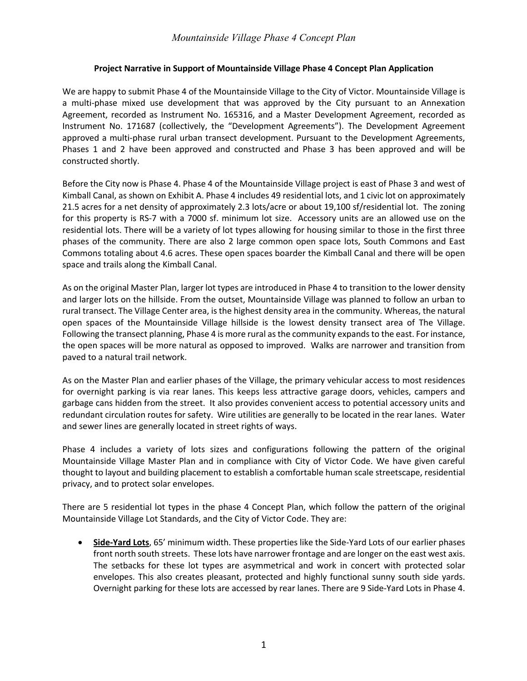## *Mountainside Village Phase 4 Concept Plan*

## **Project Narrative in Support of Mountainside Village Phase 4 Concept Plan Application**

We are happy to submit Phase 4 of the Mountainside Village to the City of Victor. Mountainside Village is a multi-phase mixed use development that was approved by the City pursuant to an Annexation Agreement, recorded as Instrument No. 165316, and a Master Development Agreement, recorded as Instrument No. 171687 (collectively, the "Development Agreements"). The Development Agreement approved a multi-phase rural urban transect development. Pursuant to the Development Agreements, Phases 1 and 2 have been approved and constructed and Phase 3 has been approved and will be constructed shortly.

Before the City now is Phase 4. Phase 4 of the Mountainside Village project is east of Phase 3 and west of Kimball Canal, as shown on Exhibit A. Phase 4 includes 49 residential lots, and 1 civic lot on approximately 21.5 acres for a net density of approximately 2.3 lots/acre or about 19,100 sf/residential lot. The zoning for this property is RS-7 with a 7000 sf. minimum lot size. Accessory units are an allowed use on the residential lots. There will be a variety of lot types allowing for housing similar to those in the first three phases of the community. There are also 2 large common open space lots, South Commons and East Commons totaling about 4.6 acres. These open spaces boarder the Kimball Canal and there will be open space and trails along the Kimball Canal.

As on the original Master Plan, larger lot types are introduced in Phase 4 to transition to the lower density and larger lots on the hillside. From the outset, Mountainside Village was planned to follow an urban to rural transect. The Village Center area, is the highest density area in the community. Whereas, the natural open spaces of the Mountainside Village hillside is the lowest density transect area of The Village. Following the transect planning, Phase 4 is more rural as the community expands to the east. For instance, the open spaces will be more natural as opposed to improved. Walks are narrower and transition from paved to a natural trail network.

As on the Master Plan and earlier phases of the Village, the primary vehicular access to most residences for overnight parking is via rear lanes. This keeps less attractive garage doors, vehicles, campers and garbage cans hidden from the street. It also provides convenient access to potential accessory units and redundant circulation routes for safety. Wire utilities are generally to be located in the rear lanes. Water and sewer lines are generally located in street rights of ways.

Phase 4 includes a variety of lots sizes and configurations following the pattern of the original Mountainside Village Master Plan and in compliance with City of Victor Code. We have given careful thought to layout and building placement to establish a comfortable human scale streetscape, residential privacy, and to protect solar envelopes.

There are 5 residential lot types in the phase 4 Concept Plan, which follow the pattern of the original Mountainside Village Lot Standards, and the City of Victor Code. They are:

• **Side-Yard Lots**, 65' minimum width. These properties like the Side-Yard Lots of our earlier phases front north south streets. These lots have narrower frontage and are longer on the east west axis. The setbacks for these lot types are asymmetrical and work in concert with protected solar envelopes. This also creates pleasant, protected and highly functional sunny south side yards. Overnight parking for these lots are accessed by rear lanes. There are 9 Side-Yard Lots in Phase 4.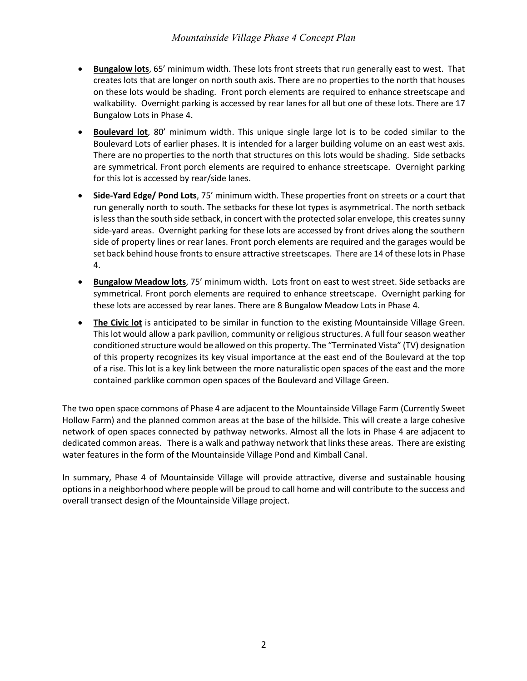- **Bungalow lots**, 65' minimum width. These lots front streets that run generally east to west. That creates lots that are longer on north south axis. There are no properties to the north that houses on these lots would be shading. Front porch elements are required to enhance streetscape and walkability. Overnight parking is accessed by rear lanes for all but one of these lots. There are 17 Bungalow Lots in Phase 4.
- **Boulevard lot**, 80' minimum width. This unique single large lot is to be coded similar to the Boulevard Lots of earlier phases. It is intended for a larger building volume on an east west axis. There are no properties to the north that structures on this lots would be shading. Side setbacks are symmetrical. Front porch elements are required to enhance streetscape. Overnight parking for this lot is accessed by rear/side lanes.
- **Side-Yard Edge/ Pond Lots**, 75' minimum width. These properties front on streets or a court that run generally north to south. The setbacks for these lot types is asymmetrical. The north setback is less than the south side setback, in concert with the protected solar envelope, this creates sunny side-yard areas. Overnight parking for these lots are accessed by front drives along the southern side of property lines or rear lanes. Front porch elements are required and the garages would be set back behind house fronts to ensure attractive streetscapes. There are 14 of these lotsin Phase 4.
- **Bungalow Meadow lots**, 75' minimum width. Lots front on east to west street. Side setbacks are symmetrical. Front porch elements are required to enhance streetscape. Overnight parking for these lots are accessed by rear lanes. There are 8 Bungalow Meadow Lots in Phase 4.
- **The Civic lot** is anticipated to be similar in function to the existing Mountainside Village Green. This lot would allow a park pavilion, community or religious structures. A full four season weather conditioned structure would be allowed on this property. The "Terminated Vista" (TV) designation of this property recognizes its key visual importance at the east end of the Boulevard at the top of a rise. This lot is a key link between the more naturalistic open spaces of the east and the more contained parklike common open spaces of the Boulevard and Village Green.

The two open space commons of Phase 4 are adjacent to the Mountainside Village Farm (Currently Sweet Hollow Farm) and the planned common areas at the base of the hillside. This will create a large cohesive network of open spaces connected by pathway networks. Almost all the lots in Phase 4 are adjacent to dedicated common areas. There is a walk and pathway network that links these areas. There are existing water features in the form of the Mountainside Village Pond and Kimball Canal.

In summary, Phase 4 of Mountainside Village will provide attractive, diverse and sustainable housing options in a neighborhood where people will be proud to call home and will contribute to the success and overall transect design of the Mountainside Village project.